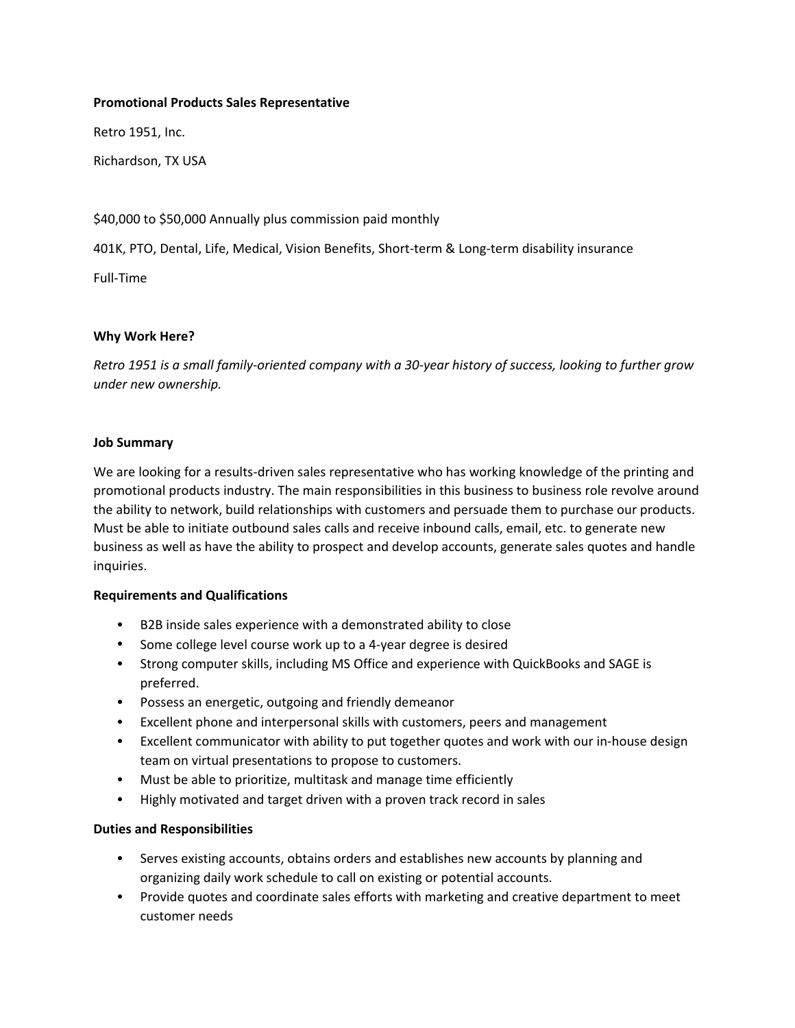## **Promotional Products Sales Representative**

Retro 1951, Inc.

Richardson, TX USA

## \$40,000 to \$50,000 Annually plus commission paid monthly

401K, PTO, Dental, Life, Medical, Vision Benefits, Short-term & Long-term disability insurance

Full‐Time

## **Why Work Here?**

*Retro 1951 is a small family‐oriented company with a 30‐year history of success, looking to further grow under new ownership.*

### **Job Summary**

We are looking for a results-driven sales representative who has working knowledge of the printing and promotional products industry. The main responsibilities in this business to business role revolve around the ability to network, build relationships with customers and persuade them to purchase our products. Must be able to initiate outbound sales calls and receive inbound calls, email, etc. to generate new business as well as have the ability to prospect and develop accounts, generate sales quotes and handle inquiries.

#### **Requirements and Qualifications**

- B2B inside sales experience with a demonstrated ability to close
- Some college level course work up to a 4-year degree is desired
- Strong computer skills, including MS Office and experience with QuickBooks and SAGE is preferred.
- Possess an energetic, outgoing and friendly demeanor
- Excellent phone and interpersonal skills with customers, peers and management
- Excellent communicator with ability to put together quotes and work with our in‐house design team on virtual presentations to propose to customers.
- Must be able to prioritize, multitask and manage time efficiently
- Highly motivated and target driven with a proven track record in sales

## **Duties and Responsibilities**

- Serves existing accounts, obtains orders and establishes new accounts by planning and organizing daily work schedule to call on existing or potential accounts.
- Provide quotes and coordinate sales efforts with marketing and creative department to meet customer needs